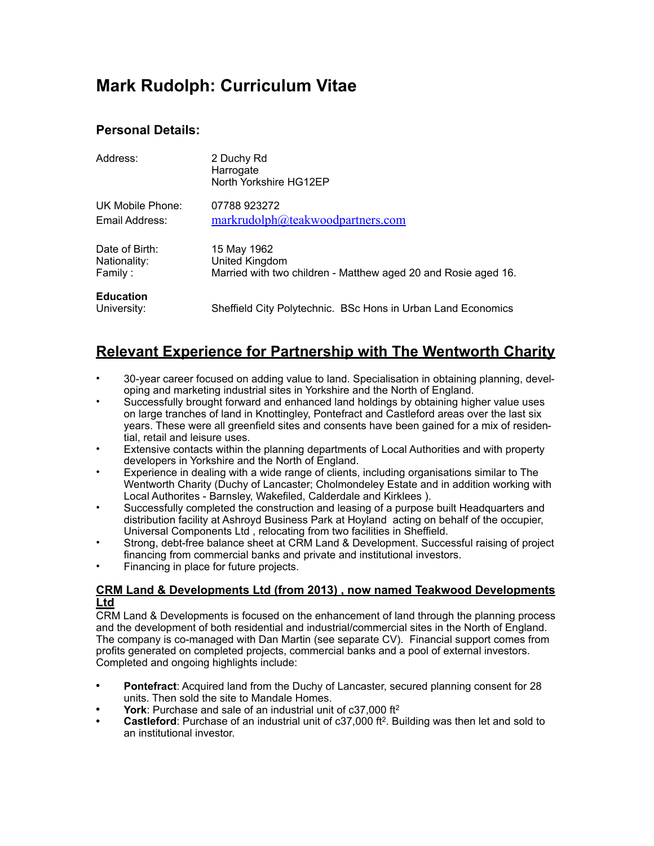# **Mark Rudolph: Curriculum Vitae**

### **Personal Details:**

| Address:                        | 2 Duchy Rd<br>Harrogate<br>North Yorkshire HG12EP              |
|---------------------------------|----------------------------------------------------------------|
| UK Mobile Phone:                | 07788923272                                                    |
| Email Address:                  | markrudolph@teakwoodpartners.com                               |
| Date of Birth:                  | 15 May 1962                                                    |
| Nationality:                    | United Kingdom                                                 |
| Family:                         | Married with two children - Matthew aged 20 and Rosie aged 16. |
| <b>Education</b><br>University: | Sheffield City Polytechnic. BSc Hons in Urban Land Economics   |

## **Relevant Experience for Partnership with The Wentworth Charity**

- 30-year career focused on adding value to land. Specialisation in obtaining planning, developing and marketing industrial sites in Yorkshire and the North of England.
- Successfully brought forward and enhanced land holdings by obtaining higher value uses on large tranches of land in Knottingley, Pontefract and Castleford areas over the last six years. These were all greenfield sites and consents have been gained for a mix of residential, retail and leisure uses.
- Extensive contacts within the planning departments of Local Authorities and with property developers in Yorkshire and the North of England.
- Experience in dealing with a wide range of clients, including organisations similar to The Wentworth Charity (Duchy of Lancaster; Cholmondeley Estate and in addition working with Local Authorites - Barnsley, Wakefiled, Calderdale and Kirklees ).
- Successfully completed the construction and leasing of a purpose built Headquarters and distribution facility at Ashroyd Business Park at Hoyland acting on behalf of the occupier, Universal Components Ltd , relocating from two facilities in Sheffield.
- Strong, debt-free balance sheet at CRM Land & Development. Successful raising of project financing from commercial banks and private and institutional investors.
- Financing in place for future projects.

#### **CRM Land & Developments Ltd (from 2013) , now named Teakwood Developments Ltd**

CRM Land & Developments is focused on the enhancement of land through the planning process and the development of both residential and industrial/commercial sites in the North of England. The company is co-managed with Dan Martin (see separate CV). Financial support comes from profits generated on completed projects, commercial banks and a pool of external investors. Completed and ongoing highlights include:

- **• Pontefract**: Acquired land from the Duchy of Lancaster, secured planning consent for 28 units. Then sold the site to Mandale Homes.
- **• York**: Purchase and sale of an industrial unit of c37,000 ft2
- **• Castleford**: Purchase of an industrial unit of c37,000 ft2. Building was then let and sold to an institutional investor.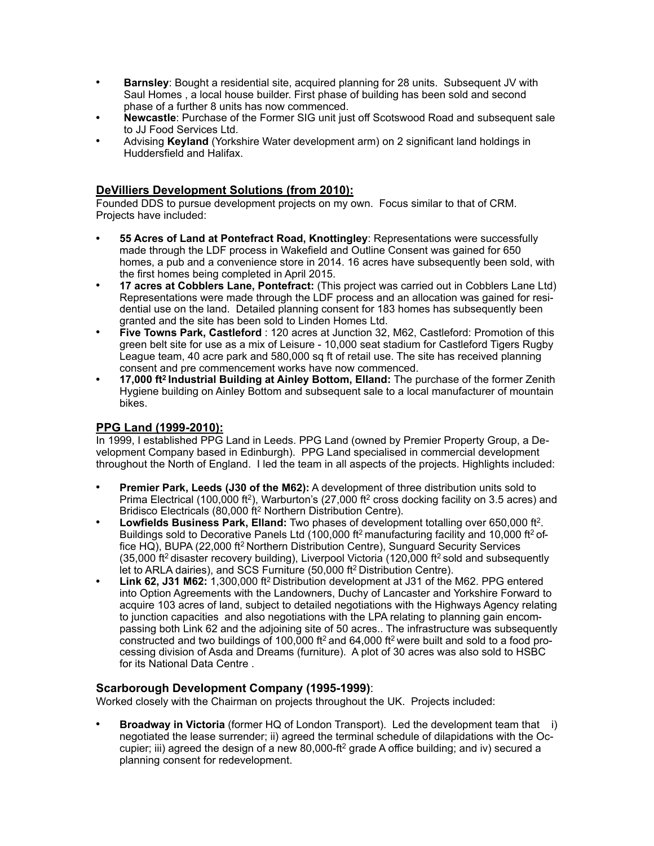- **• Barnsley**: Bought a residential site, acquired planning for 28 units. Subsequent JV with Saul Homes , a local house builder. First phase of building has been sold and second phase of a further 8 units has now commenced.
- **• Newcastle**: Purchase of the Former SIG unit just off Scotswood Road and subsequent sale to JJ Food Services Ltd.
- **•** Advising **Keyland** (Yorkshire Water development arm) on 2 significant land holdings in Huddersfield and Halifax.

#### **DeVilliers Development Solutions (from 2010):**

Founded DDS to pursue development projects on my own. Focus similar to that of CRM. Projects have included:

- **• 55 Acres of Land at Pontefract Road, Knottingley**: Representations were successfully made through the LDF process in Wakefield and Outline Consent was gained for 650 homes, a pub and a convenience store in 2014. 16 acres have subsequently been sold, with the first homes being completed in April 2015.
- **• 17 acres at Cobblers Lane, Pontefract:** (This project was carried out in Cobblers Lane Ltd) Representations were made through the LDF process and an allocation was gained for residential use on the land. Detailed planning consent for 183 homes has subsequently been granted and the site has been sold to Linden Homes Ltd.
- **• Five Towns Park, Castleford** : 120 acres at Junction 32, M62, Castleford: Promotion of this green belt site for use as a mix of Leisure - 10,000 seat stadium for Castleford Tigers Rugby League team, 40 acre park and 580,000 sq ft of retail use. The site has received planning consent and pre commencement works have now commenced.
- **• 17,000 ft2 Industrial Building at Ainley Bottom, Elland:** The purchase of the former Zenith Hygiene building on Ainley Bottom and subsequent sale to a local manufacturer of mountain bikes.

#### **PPG Land (1999-2010):**

In 1999, I established PPG Land in Leeds. PPG Land (owned by Premier Property Group, a Development Company based in Edinburgh). PPG Land specialised in commercial development throughout the North of England. I led the team in all aspects of the projects. Highlights included:

- **• Premier Park, Leeds (J30 of the M62):** A development of three distribution units sold to Prima Electrical (100,000 ft<sup>2</sup>), Warburton's (27,000 ft<sup>2</sup> cross docking facility on 3.5 acres) and Bridisco Electricals (80,000 ft2 Northern Distribution Centre).
- **• Lowfields Business Park, Elland:** Two phases of development totalling over 650,000 ft2. Buildings sold to Decorative Panels Ltd (100,000 ft<sup>2</sup> manufacturing facility and 10,000 ft<sup>2</sup> office HQ), BUPA (22,000 ft2 Northern Distribution Centre), Sunguard Security Services  $(35,000$  ft<sup>2</sup> disaster recovery building), Liverpool Victoria (120,000 ft<sup>2</sup> sold and subsequently let to ARLA dairies), and SCS Furniture (50,000 ft2 Distribution Centre).
- **Link 62, J31 M62:** 1,300,000 ft<sup>2</sup> Distribution development at J31 of the M62. PPG entered into Option Agreements with the Landowners, Duchy of Lancaster and Yorkshire Forward to acquire 103 acres of land, subject to detailed negotiations with the Highways Agency relating to junction capacities and also negotiations with the LPA relating to planning gain encompassing both Link 62 and the adjoining site of 50 acres.. The infrastructure was subsequently constructed and two buildings of 100,000 ft<sup>2</sup> and 64,000 ft<sup>2</sup> were built and sold to a food processing division of Asda and Dreams (furniture). A plot of 30 acres was also sold to HSBC for its National Data Centre .

#### **Scarborough Development Company (1995-1999)**:

Worked closely with the Chairman on projects throughout the UK. Projects included:

**Broadway in Victoria** (former HQ of London Transport). Led the development team that i) negotiated the lease surrender; ii) agreed the terminal schedule of dilapidations with the Occupier; iii) agreed the design of a new 80,000-ft<sup>2</sup> grade A office building; and iv) secured a planning consent for redevelopment.